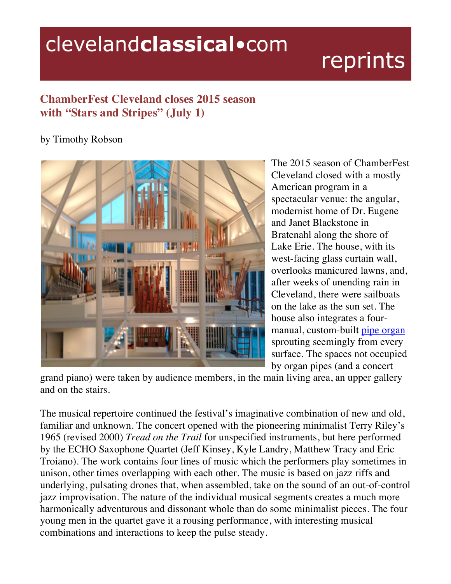## clevelandclassical.com

## reprints

## **ChamberFest Cleveland closes 2015 season with "Stars and Stripes" (July 1)**

## by Timothy Robson



The 2015 season of ChamberFest Cleveland closed with a mostly American program in a spectacular venue: the angular, modernist home of Dr. Eugene and Janet Blackstone in Bratenahl along the shore of Lake Erie. The house, with its west-facing glass curtain wall, overlooks manicured lawns, and, after weeks of unending rain in Cleveland, there were sailboats on the lake as the sun set. The house also integrates a fourmanual, custom-built pipe organ sprouting seemingly from every surface. The spaces not occupied by organ pipes (and a concert

grand piano) were taken by audience members, in the main living area, an upper gallery and on the stairs.

The musical repertoire continued the festival's imaginative combination of new and old, familiar and unknown. The concert opened with the pioneering minimalist Terry Riley's 1965 (revised 2000) *Tread on the Trail* for unspecified instruments, but here performed by the ECHO Saxophone Quartet (Jeff Kinsey, Kyle Landry, Matthew Tracy and Eric Troiano). The work contains four lines of music which the performers play sometimes in unison, other times overlapping with each other. The music is based on jazz riffs and underlying, pulsating drones that, when assembled, take on the sound of an out-of-control jazz improvisation. The nature of the individual musical segments creates a much more harmonically adventurous and dissonant whole than do some minimalist pieces. The four young men in the quartet gave it a rousing performance, with interesting musical combinations and interactions to keep the pulse steady.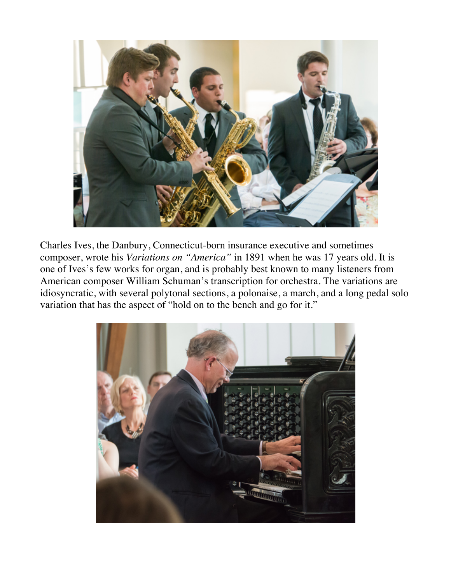

Charles Ives, the Danbury, Connecticut-born insurance executive and sometimes composer, wrote his *Variations on "America"* in 1891 when he was 17 years old. It is one of Ives's few works for organ, and is probably best known to many listeners from American composer William Schuman's transcription for orchestra. The variations are idiosyncratic, with several polytonal sections, a polonaise, a march, and a long pedal solo variation that has the aspect of "hold on to the bench and go for it."

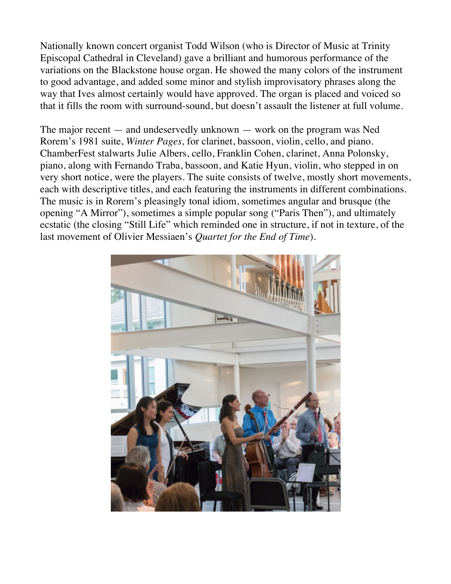Nationally known concert organist Todd Wilson (who is Director of Music at Trinity Episcopal Cathedral in Cleveland) gave a brilliant and humorous performance of the variations on the Blackstone house organ. He showed the many colors of the instrument to good advantage, and added some minor and stylish improvisatory phrases along the way that Ives almost certainly would have approved. The organ is placed and voiced so that it fills the room with surround-sound, but doesn't assault the listener at full volume.

The major recent — and undeservedly unknown — work on the program was Ned Rorem's 1981 suite, *Winter Pages,* for clarinet, bassoon, violin, cello, and piano. ChamberFest stalwarts Julie Albers, cello, Franklin Cohen, clarinet, Anna Polonsky, piano, along with Fernando Traba, bassoon, and Katie Hyun, violin, who stepped in on very short notice, were the players. The suite consists of twelve, mostly short movements, each with descriptive titles, and each featuring the instruments in different combinations. The music is in Rorem's pleasingly tonal idiom, sometimes angular and brusque (the opening "A Mirror"), sometimes a simple popular song ("Paris Then"), and ultimately ecstatic (the closing "Still Life" which reminded one in structure, if not in texture, of the last movement of Olivier Messiaen's *Quartet for the End of Time*).

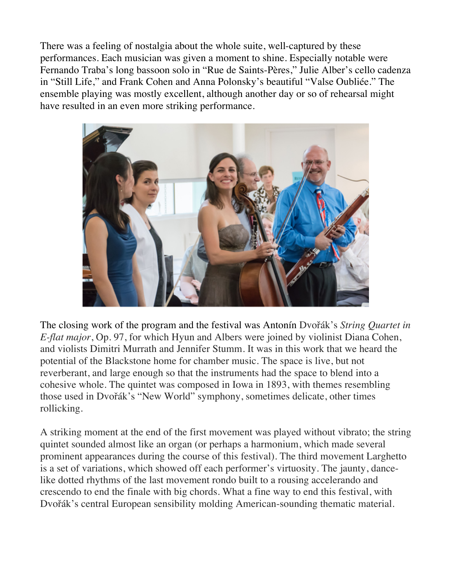There was a feeling of nostalgia about the whole suite, well-captured by these performances. Each musician was given a moment to shine. Especially notable were Fernando Traba's long bassoon solo in "Rue de Saints-Pères," Julie Alber's cello cadenza in "Still Life," and Frank Cohen and Anna Polonsky's beautiful "Valse Oubliée." The ensemble playing was mostly excellent, although another day or so of rehearsal might have resulted in an even more striking performance.



The closing work of the program and the festival was Antonín Dvořák's *String Quartet in E-flat major*, Op. 97, for which Hyun and Albers were joined by violinist Diana Cohen, and violists Dimitri Murrath and Jennifer Stumm. It was in this work that we heard the potential of the Blackstone home for chamber music. The space is live, but not reverberant, and large enough so that the instruments had the space to blend into a cohesive whole. The quintet was composed in Iowa in 1893, with themes resembling those used in Dvořák's "New World" symphony, sometimes delicate, other times rollicking.

A striking moment at the end of the first movement was played without vibrato; the string quintet sounded almost like an organ (or perhaps a harmonium, which made several prominent appearances during the course of this festival). The third movement Larghetto is a set of variations, which showed off each performer's virtuosity. The jaunty, dancelike dotted rhythms of the last movement rondo built to a rousing accelerando and crescendo to end the finale with big chords. What a fine way to end this festival, with Dvořák's central European sensibility molding American-sounding thematic material.